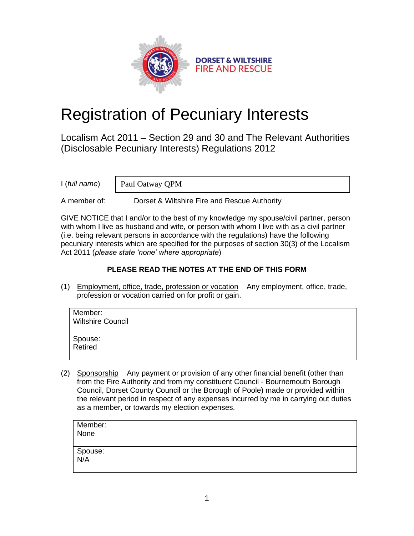

# Registration of Pecuniary Interests

Localism Act 2011 – Section 29 and 30 and The Relevant Authorities (Disclosable Pecuniary Interests) Regulations 2012

I (*full name*)

Paul Oatway QPM

A member of: Dorset & Wiltshire Fire and Rescue Authority

GIVE NOTICE that I and/or to the best of my knowledge my spouse/civil partner, person with whom I live as husband and wife, or person with whom I live with as a civil partner (i.e. being relevant persons in accordance with the regulations) have the following pecuniary interests which are specified for the purposes of section 30(3) of the Localism Act 2011 (*please state 'none' where appropriate*)

## **PLEASE READ THE NOTES AT THE END OF THIS FORM**

(1) Employment, office, trade, profession or vocation Any employment, office, trade, profession or vocation carried on for profit or gain.

| Member:<br><b>Wiltshire Council</b> |  |
|-------------------------------------|--|
| Spouse:<br>Retired                  |  |

(2) Sponsorship Any payment or provision of any other financial benefit (other than from the Fire Authority and from my constituent Council - Bournemouth Borough Council, Dorset County Council or the Borough of Poole) made or provided within the relevant period in respect of any expenses incurred by me in carrying out duties as a member, or towards my election expenses.

| Member:<br>None |  |  |
|-----------------|--|--|
| Spouse:<br>N/A  |  |  |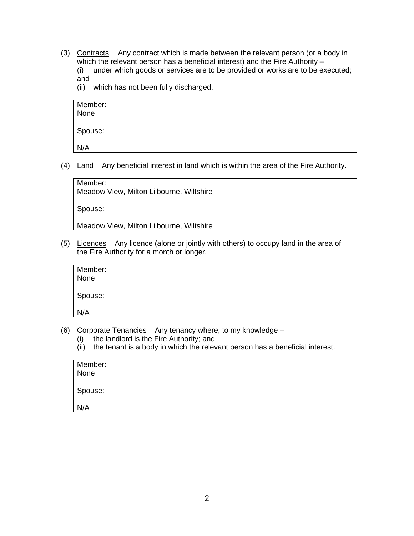- (3) Contracts Any contract which is made between the relevant person (or a body in which the relevant person has a beneficial interest) and the Fire Authority – (i) under which goods or services are to be provided or works are to be executed; and
	- (ii) which has not been fully discharged.

| Member:<br>None |  |  |
|-----------------|--|--|
| Spouse:         |  |  |
| N/A             |  |  |

(4) Land Any beneficial interest in land which is within the area of the Fire Authority.

| Member: |
|---------|
|---------|

Meadow View, Milton Lilbourne, Wiltshire

Spouse:

Meadow View, Milton Lilbourne, Wiltshire

(5) Licences Any licence (alone or jointly with others) to occupy land in the area of the Fire Authority for a month or longer.

| Member:<br>None |  |
|-----------------|--|
| Spouse:         |  |
| N/A             |  |

- (6) Corporate Tenancies Any tenancy where, to my knowledge
	- (i) the landlord is the Fire Authority; and
	- (ii) the tenant is a body in which the relevant person has a beneficial interest.

| Member:<br>None |  |  |
|-----------------|--|--|
| Spouse:         |  |  |
| N/A             |  |  |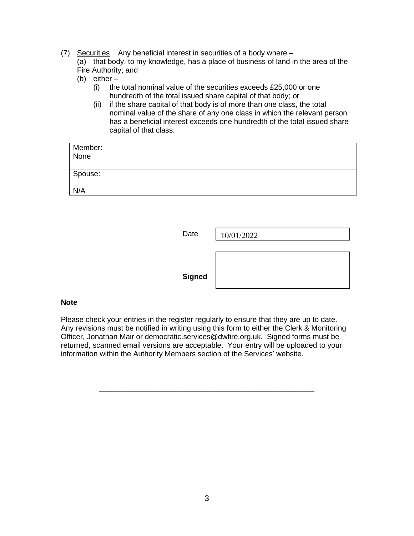### (7) Securities Any beneficial interest in securities of a body where –

(a) that body, to my knowledge, has a place of business of land in the area of the Fire Authority; and

- (b) either  $-$ <br>(i) the
	- the total nominal value of the securities exceeds £25,000 or one hundredth of the total issued share capital of that body; or
	- (ii) if the share capital of that body is of more than one class, the total nominal value of the share of any one class in which the relevant person has a beneficial interest exceeds one hundredth of the total issued share capital of that class.

| Member:<br>None |  |
|-----------------|--|
| Spouse:         |  |
| N/A             |  |

| Date          | 10/01/2022 |
|---------------|------------|
|               |            |
| <b>Signed</b> |            |

#### **Note**

Please check your entries in the register regularly to ensure that they are up to date. Any revisions must be notified in writing using this form to either the Clerk & Monitoring Officer, Jonathan Mair or democratic.services@dwfire.org.uk. Signed forms must be returned, scanned email versions are acceptable. Your entry will be uploaded to your information within the Authority Members section of the Services' website.

**\_\_\_\_\_\_\_\_\_\_\_\_\_\_\_\_\_\_\_\_\_\_\_\_\_\_\_\_\_\_\_\_\_\_\_\_\_\_\_\_\_\_\_\_\_\_\_\_\_\_\_\_**